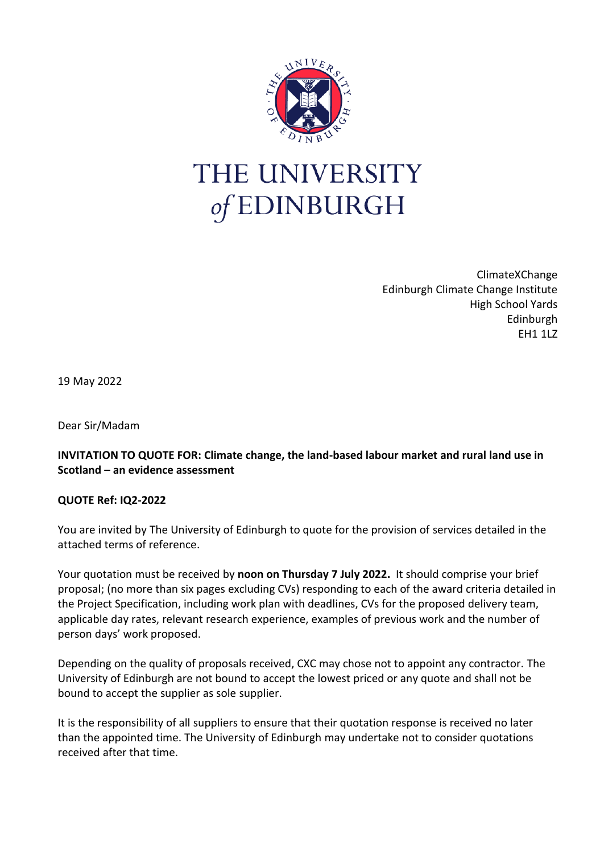

## THE UNIVERSITY of EDINBURGH

ClimateXChange Edinburgh Climate Change Institute High School Yards Edinburgh EH1 1LZ

19 May 2022

Dear Sir/Madam

## **INVITATION TO QUOTE FOR: Climate change, the land-based labour market and rural land use in Scotland – an evidence assessment**

## **QUOTE Ref: IQ2-2022**

You are invited by The University of Edinburgh to quote for the provision of services detailed in the attached terms of reference.

Your quotation must be received by **noon on Thursday 7 July 2022.** It should comprise your brief proposal; (no more than six pages excluding CVs) responding to each of the award criteria detailed in the Project Specification, including work plan with deadlines, CVs for the proposed delivery team, applicable day rates, relevant research experience, examples of previous work and the number of person days' work proposed.

Depending on the quality of proposals received, CXC may chose not to appoint any contractor. The University of Edinburgh are not bound to accept the lowest priced or any quote and shall not be bound to accept the supplier as sole supplier.

It is the responsibility of all suppliers to ensure that their quotation response is received no later than the appointed time. The University of Edinburgh may undertake not to consider quotations received after that time.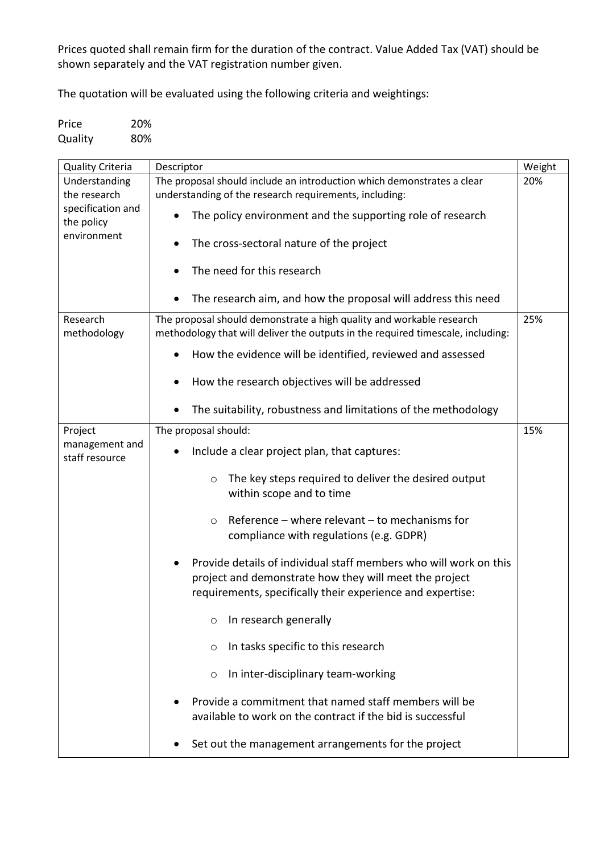Prices quoted shall remain firm for the duration of the contract. Value Added Tax (VAT) should be shown separately and the VAT registration number given.

The quotation will be evaluated using the following criteria and weightings:

Price 20% Quality 80%

| <b>Quality Criteria</b>          | Descriptor                                                                                                                                                                                | Weight |
|----------------------------------|-------------------------------------------------------------------------------------------------------------------------------------------------------------------------------------------|--------|
| Understanding                    | The proposal should include an introduction which demonstrates a clear                                                                                                                    | 20%    |
| the research                     | understanding of the research requirements, including:                                                                                                                                    |        |
| specification and<br>the policy  | The policy environment and the supporting role of research                                                                                                                                |        |
| environment                      | The cross-sectoral nature of the project                                                                                                                                                  |        |
|                                  | The need for this research                                                                                                                                                                |        |
|                                  | The research aim, and how the proposal will address this need                                                                                                                             |        |
| Research<br>methodology          | The proposal should demonstrate a high quality and workable research<br>methodology that will deliver the outputs in the required timescale, including:                                   | 25%    |
|                                  | How the evidence will be identified, reviewed and assessed                                                                                                                                |        |
|                                  | How the research objectives will be addressed<br>$\bullet$                                                                                                                                |        |
|                                  | The suitability, robustness and limitations of the methodology                                                                                                                            |        |
| Project                          | The proposal should:                                                                                                                                                                      | 15%    |
| management and<br>staff resource | Include a clear project plan, that captures:                                                                                                                                              |        |
|                                  | The key steps required to deliver the desired output<br>O<br>within scope and to time                                                                                                     |        |
|                                  | Reference $-$ where relevant $-$ to mechanisms for<br>$\circ$<br>compliance with regulations (e.g. GDPR)                                                                                  |        |
|                                  | Provide details of individual staff members who will work on this<br>project and demonstrate how they will meet the project<br>requirements, specifically their experience and expertise: |        |
|                                  | In research generally<br>O                                                                                                                                                                |        |
|                                  | In tasks specific to this research<br>O                                                                                                                                                   |        |
|                                  | In inter-disciplinary team-working<br>$\circ$                                                                                                                                             |        |
|                                  | Provide a commitment that named staff members will be<br>available to work on the contract if the bid is successful                                                                       |        |
|                                  | Set out the management arrangements for the project                                                                                                                                       |        |